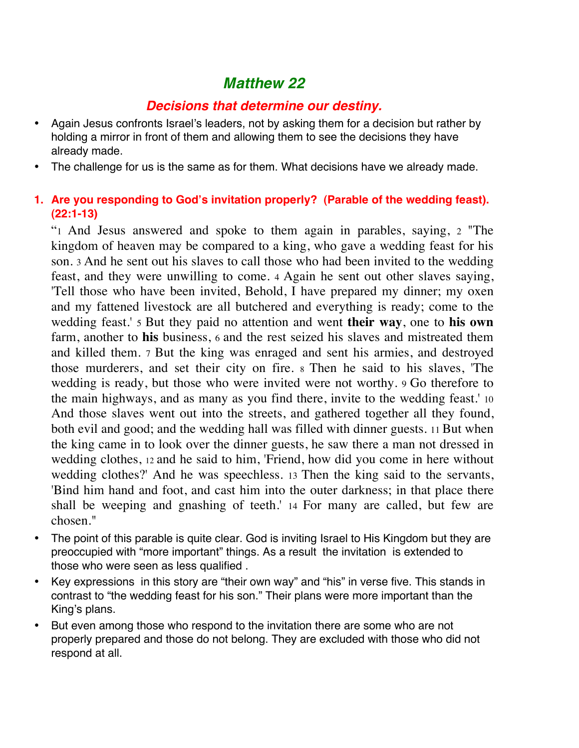# *Matthew 22*

# *Decisions that determine our destiny.*

- Again Jesus confronts Israel's leaders, not by asking them for a decision but rather by holding a mirror in front of them and allowing them to see the decisions they have already made.
- The challenge for us is the same as for them. What decisions have we already made.

## **1. Are you responding to God's invitation properly? (Parable of the wedding feast). (22:1-13)**

"1 And Jesus answered and spoke to them again in parables, saying, 2 "The kingdom of heaven may be compared to a king, who gave a wedding feast for his son. 3 And he sent out his slaves to call those who had been invited to the wedding feast, and they were unwilling to come. 4 Again he sent out other slaves saying, 'Tell those who have been invited, Behold, I have prepared my dinner; my oxen and my fattened livestock are all butchered and everything is ready; come to the wedding feast.' 5 But they paid no attention and went **their way**, one to **his own** farm, another to **his** business, 6 and the rest seized his slaves and mistreated them and killed them. 7 But the king was enraged and sent his armies, and destroyed those murderers, and set their city on fire. 8 Then he said to his slaves, 'The wedding is ready, but those who were invited were not worthy. 9 Go therefore to the main highways, and as many as you find there, invite to the wedding feast.' 10 And those slaves went out into the streets, and gathered together all they found, both evil and good; and the wedding hall was filled with dinner guests. 11 But when the king came in to look over the dinner guests, he saw there a man not dressed in wedding clothes, 12 and he said to him, 'Friend, how did you come in here without wedding clothes?' And he was speechless. 13 Then the king said to the servants, 'Bind him hand and foot, and cast him into the outer darkness; in that place there shall be weeping and gnashing of teeth.' 14 For many are called, but few are chosen."

- The point of this parable is quite clear. God is inviting Israel to His Kingdom but they are preoccupied with "more important" things. As a result the invitation is extended to those who were seen as less qualified .
- Key expressions in this story are "their own way" and "his" in verse five. This stands in contrast to "the wedding feast for his son." Their plans were more important than the King's plans.
- But even among those who respond to the invitation there are some who are not properly prepared and those do not belong. They are excluded with those who did not respond at all.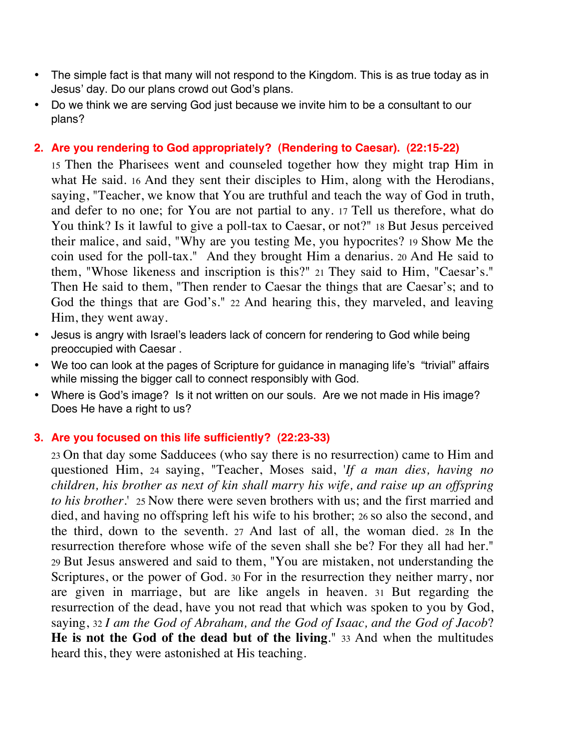- The simple fact is that many will not respond to the Kingdom. This is as true today as in Jesus' day. Do our plans crowd out God's plans.
- Do we think we are serving God just because we invite him to be a consultant to our plans?

## **2. Are you rendering to God appropriately? (Rendering to Caesar). (22:15-22)**

15 Then the Pharisees went and counseled together how they might trap Him in what He said. 16 And they sent their disciples to Him, along with the Herodians, saying, "Teacher, we know that You are truthful and teach the way of God in truth, and defer to no one; for You are not partial to any. 17 Tell us therefore, what do You think? Is it lawful to give a poll-tax to Caesar, or not?" 18 But Jesus perceived their malice, and said, "Why are you testing Me, you hypocrites? 19 Show Me the coin used for the poll-tax." And they brought Him a denarius. 20 And He said to them, "Whose likeness and inscription is this?" 21 They said to Him, "Caesar's." Then He said to them, "Then render to Caesar the things that are Caesar's; and to God the things that are God's." 22 And hearing this, they marveled, and leaving Him, they went away.

- Jesus is angry with Israel's leaders lack of concern for rendering to God while being preoccupied with Caesar .
- We too can look at the pages of Scripture for guidance in managing life's "trivial" affairs while missing the bigger call to connect responsibly with God.
- Where is God's image? Is it not written on our souls. Are we not made in His image? Does He have a right to us?

#### **3. Are you focused on this life sufficiently? (22:23-33)**

23 On that day some Sadducees (who say there is no resurrection) came to Him and questioned Him, 24 saying, "Teacher, Moses said, '*If a man dies, having no children, his brother as next of kin shall marry his wife, and raise up an offspring to his brother*.' 25 Now there were seven brothers with us; and the first married and died, and having no offspring left his wife to his brother; 26 so also the second, and the third, down to the seventh. 27 And last of all, the woman died. 28 In the resurrection therefore whose wife of the seven shall she be? For they all had her." 29 But Jesus answered and said to them, "You are mistaken, not understanding the Scriptures, or the power of God. 30 For in the resurrection they neither marry, nor are given in marriage, but are like angels in heaven. 31 But regarding the resurrection of the dead, have you not read that which was spoken to you by God, saying, 32 *I am the God of Abraham, and the God of Isaac, and the God of Jacob*? **He is not the God of the dead but of the living**." 33 And when the multitudes heard this, they were astonished at His teaching.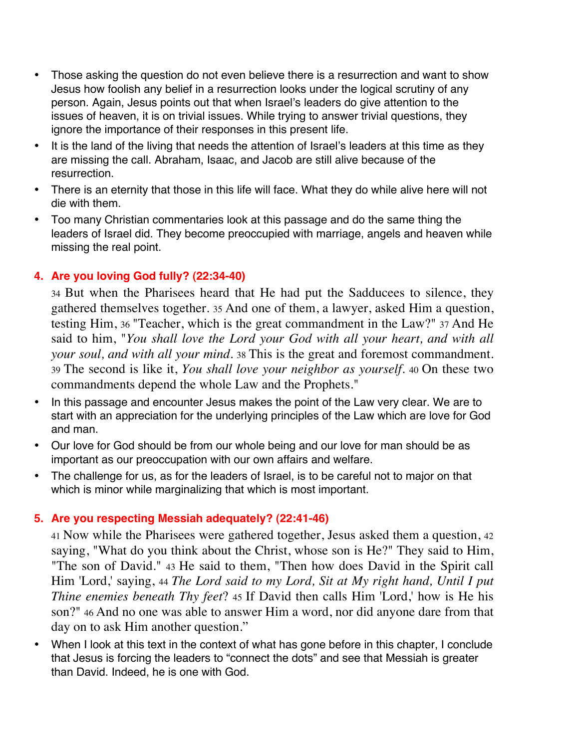- Those asking the question do not even believe there is a resurrection and want to show Jesus how foolish any belief in a resurrection looks under the logical scrutiny of any person. Again, Jesus points out that when Israel's leaders do give attention to the issues of heaven, it is on trivial issues. While trying to answer trivial questions, they ignore the importance of their responses in this present life.
- It is the land of the living that needs the attention of Israel's leaders at this time as they are missing the call. Abraham, Isaac, and Jacob are still alive because of the resurrection.
- There is an eternity that those in this life will face. What they do while alive here will not die with them.
- Too many Christian commentaries look at this passage and do the same thing the leaders of Israel did. They become preoccupied with marriage, angels and heaven while missing the real point.

# **4. Are you loving God fully? (22:34-40)**

34 But when the Pharisees heard that He had put the Sadducees to silence, they gathered themselves together. 35 And one of them, a lawyer, asked Him a question, testing Him, 36 "Teacher, which is the great commandment in the Law?" 37 And He said to him, "*You shall love the Lord your God with all your heart, and with all your soul, and with all your mind*. 38 This is the great and foremost commandment. 39 The second is like it, *You shall love your neighbor as yourself*. 40 On these two commandments depend the whole Law and the Prophets."

- In this passage and encounter Jesus makes the point of the Law very clear. We are to start with an appreciation for the underlying principles of the Law which are love for God and man.
- Our love for God should be from our whole being and our love for man should be as important as our preoccupation with our own affairs and welfare.
- The challenge for us, as for the leaders of Israel, is to be careful not to major on that which is minor while marginalizing that which is most important.

# **5. Are you respecting Messiah adequately? (22:41-46)**

41 Now while the Pharisees were gathered together, Jesus asked them a question, 42 saying, "What do you think about the Christ, whose son is He?" They said to Him, "The son of David." 43 He said to them, "Then how does David in the Spirit call Him 'Lord,' saying, 44 *The Lord said to my Lord, Sit at My right hand, Until I put Thine enemies beneath Thy feet*? 45 If David then calls Him 'Lord,' how is He his son?" 46 And no one was able to answer Him a word, nor did anyone dare from that day on to ask Him another question."

• When I look at this text in the context of what has gone before in this chapter, I conclude that Jesus is forcing the leaders to "connect the dots" and see that Messiah is greater than David. Indeed, he is one with God.